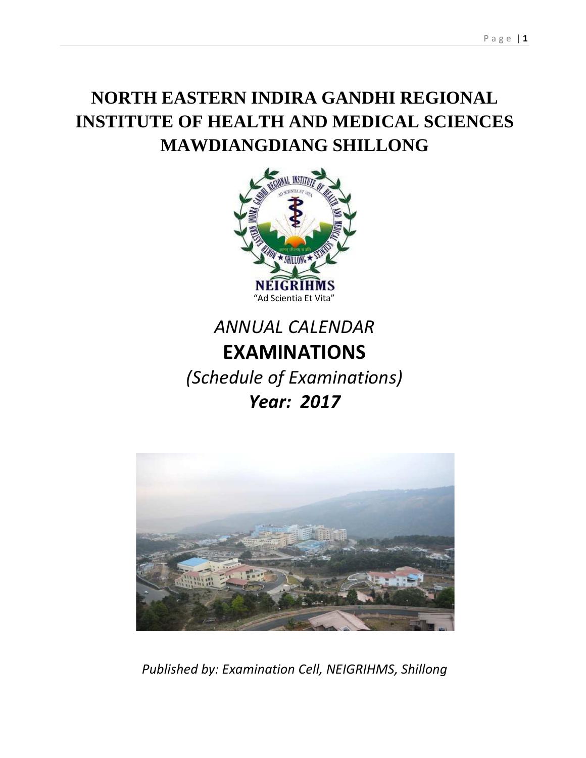# **NORTH EASTERN INDIRA GANDHI REGIONAL INSTITUTE OF HEALTH AND MEDICAL SCIENCES MAWDIANGDIANG SHILLONG**



# *ANNUAL CALENDAR*  **EXAMINATIONS**

*(Schedule of Examinations)*

## *Year: 2017*



*Published by: Examination Cell, NEIGRIHMS, Shillong*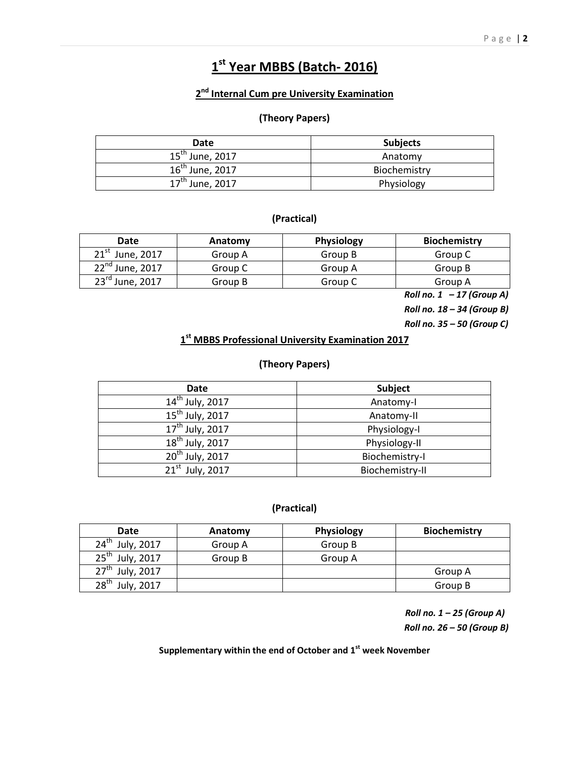## **1 st Year MBBS (Batch- 2016)**

#### **2 nd Internal Cum pre University Examination**

#### **(Theory Papers)**

| Date                 | <b>Subjects</b> |
|----------------------|-----------------|
| $15^{th}$ June, 2017 | Anatomy         |
| $16^{th}$ June, 2017 | Biochemistry    |
| $17^{th}$ June, 2017 | Physiology      |

#### **(Practical)**

| Date                 | Anatomy | <b>Physiology</b> | <b>Biochemistry</b> |
|----------------------|---------|-------------------|---------------------|
| $21st$ June, 2017    | Group A | Group B           | Group C             |
| $22^{nd}$ June, 2017 | Group C | Group A           | Group B             |
| 23rd June, 2017      | Group B | Group C           | Group A             |

*Roll no. 1 – 17 (Group A)* 

*Roll no. 18 – 34 (Group B)* 

*Roll no. 35 – 50 (Group C)*

#### **1 st MBBS Professional University Examination 2017**

#### **(Theory Papers)**

| Date                 | <b>Subject</b>  |
|----------------------|-----------------|
| $14^{th}$ July, 2017 | Anatomy-I       |
| $15^{th}$ July, 2017 | Anatomy-II      |
| $17^{th}$ July, 2017 | Physiology-I    |
| $18th$ July, 2017    | Physiology-II   |
| $20^{th}$ July, 2017 | Biochemistry-I  |
| $21st$ July, 2017    | Biochemistry-II |

#### **(Practical)**

| Date                           | Anatomy | Physiology | <b>Biochemistry</b> |
|--------------------------------|---------|------------|---------------------|
| $24^{\text{th}}$<br>July, 2017 | Group A | Group B    |                     |
| $25^{\text{th}}$<br>July, 2017 | Group B | Group A    |                     |
| $27^{\text{th}}$<br>July, 2017 |         |            | Group A             |
| 28 <sup>th</sup><br>July, 2017 |         |            | Group B             |

 *Roll no. 1 – 25 (Group A) Roll no. 26 – 50 (Group B)*

**Supplementary within the end of October and 1st week November**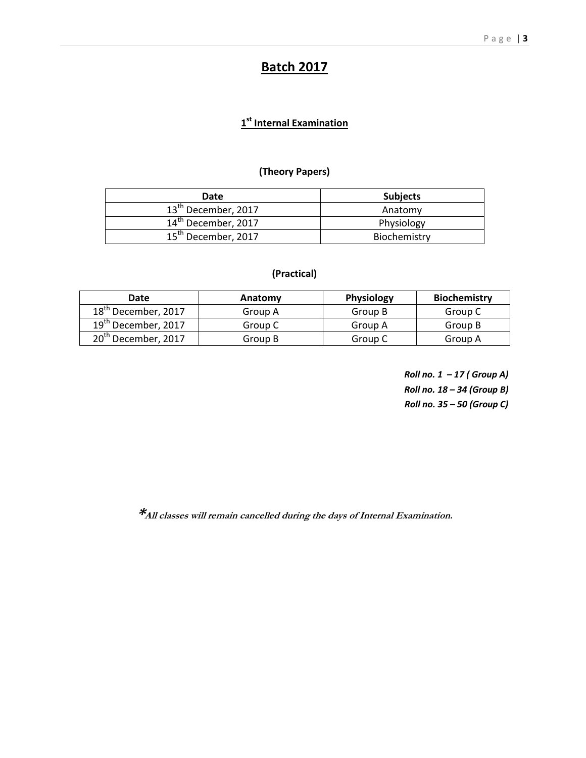## **Batch 2017**

#### **1 st Internal Examination**

#### **(Theory Papers)**

| Date                            | <b>Subjects</b> |
|---------------------------------|-----------------|
| 13 <sup>th</sup> December, 2017 | Anatomy         |
| 14 <sup>th</sup> December, 2017 | Physiology      |
| 15 <sup>th</sup> December, 2017 | Biochemistry    |

#### **(Practical)**

| Date                            | Anatomy | <b>Physiology</b> | <b>Biochemistry</b> |
|---------------------------------|---------|-------------------|---------------------|
| 18 <sup>th</sup> December, 2017 | Group A | Group B           | Group C             |
| 19 <sup>th</sup> December, 2017 | Group C | Group A           | Group B             |
| 20 <sup>th</sup> December, 2017 | Group B | Group C           | Group A             |

*Roll no. 1 – 17 ( Group A) Roll no. 18 – 34 (Group B) Roll no. 35 – 50 (Group C)* 

**\*All classes will remain cancelled during the days of Internal Examination.**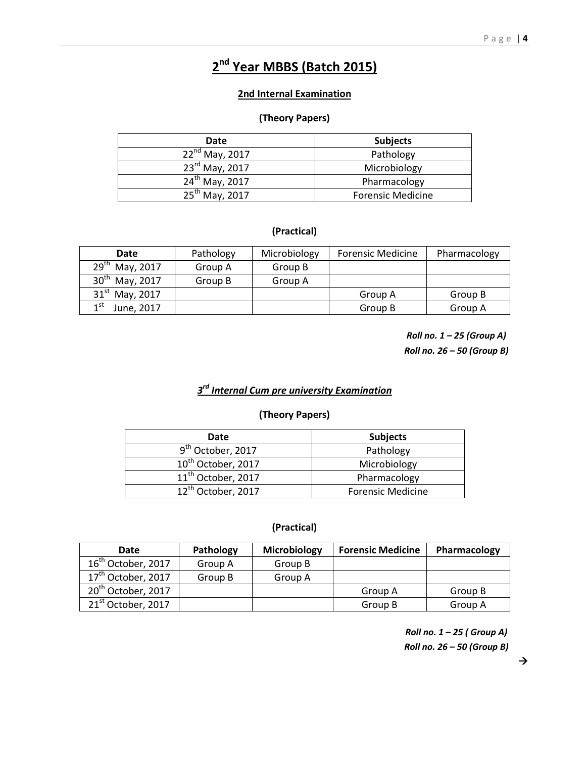## **2 nd Year MBBS (Batch 2015)**

#### **2nd Internal Examination**

#### **(Theory Papers)**

| Date                       | <b>Subjects</b>          |
|----------------------------|--------------------------|
| $22^{nd}$ May, 2017        | Pathology                |
| 23rd May, 2017             | Microbiology             |
| 24 <sup>th</sup> May, 2017 | Pharmacology             |
| 25 <sup>th</sup> May, 2017 | <b>Forensic Medicine</b> |

#### **(Practical)**

| <b>Date</b>             | Pathology | Microbiology | <b>Forensic Medicine</b> | Pharmacology |
|-------------------------|-----------|--------------|--------------------------|--------------|
| $29^{th}$ May, 2017     | Group A   | Group B      |                          |              |
| $30^{th}$ May, 2017     | Group B   | Group A      |                          |              |
| $31^{st}$ May, 2017     |           |              | Group A                  | Group B      |
| $1^{\rm st}$ June, 2017 |           |              | Group B                  | Group A      |

*Roll no. 1 – 25 (Group A) Roll no. 26 – 50 (Group B)* 

#### *3 rd Internal Cum pre university Examination*

#### **(Theory Papers)**

| Date                           | <b>Subjects</b>          |
|--------------------------------|--------------------------|
| 9 <sup>th</sup> October, 2017  | Pathology                |
| 10 <sup>th</sup> October, 2017 | Microbiology             |
| 11 <sup>th</sup> October, 2017 | Pharmacology             |
| 12 <sup>th</sup> October, 2017 | <b>Forensic Medicine</b> |

#### **(Practical)**

| Date                           | Pathology | <b>Microbiology</b> | <b>Forensic Medicine</b> | Pharmacology |
|--------------------------------|-----------|---------------------|--------------------------|--------------|
| $16^{\text{th}}$ October, 2017 | Group A   | Group B             |                          |              |
| 17 <sup>th</sup> October, 2017 | Group B   | Group A             |                          |              |
| 20 <sup>th</sup> October, 2017 |           |                     | Group A                  | Group B      |
| 21 <sup>st</sup> October, 2017 |           |                     | Group B                  | Group A      |

*Roll no. 1 – 25 ( Group A) Roll no. 26 – 50 (Group B)*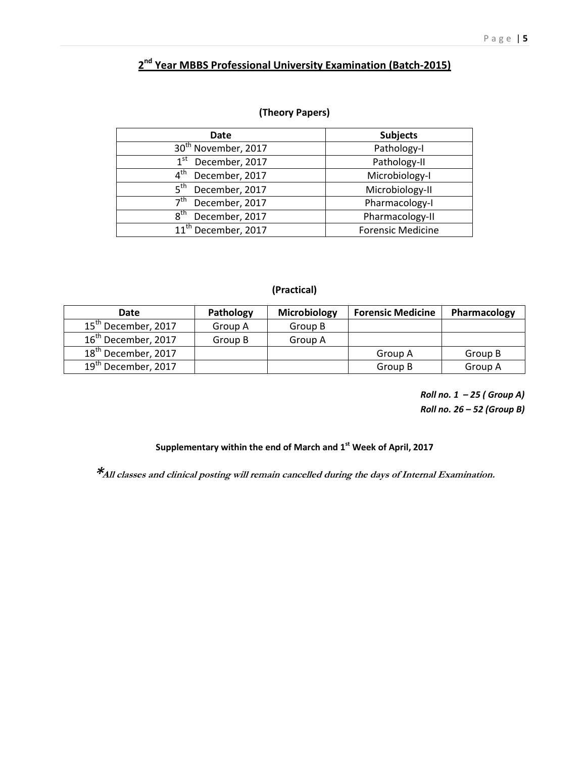#### **2 nd Year MBBS Professional University Examination (Batch-2015)**

#### **(Theory Papers)**

| Date                              | <b>Subjects</b>          |
|-----------------------------------|--------------------------|
| 30 <sup>th</sup> November, 2017   | Pathology-I              |
| 1 <sup>st</sup><br>December, 2017 | Pathology-II             |
| 4 <sup>th</sup><br>December, 2017 | Microbiology-I           |
| 5 <sup>th</sup><br>December, 2017 | Microbiology-II          |
| 7 <sup>th</sup><br>December, 2017 | Pharmacology-I           |
| $8^{\text{th}}$<br>December, 2017 | Pharmacology-II          |
| 11 <sup>th</sup> December, 2017   | <b>Forensic Medicine</b> |

#### **(Practical)**

| Date                            | Pathology | Microbiology | <b>Forensic Medicine</b> | Pharmacology |
|---------------------------------|-----------|--------------|--------------------------|--------------|
| 15 <sup>th</sup> December, 2017 | Group A   | Group B      |                          |              |
| 16 <sup>th</sup> December, 2017 | Group B   | Group A      |                          |              |
| 18 <sup>th</sup> December, 2017 |           |              | Group A                  | Group B      |
| 19 <sup>th</sup> December, 2017 |           |              | Group B                  | Group A      |

*Roll no. 1 – 25 ( Group A) Roll no. 26 – 52 (Group B)* 

#### **Supplementary within the end of March and 1st Week of April, 2017**

**\*All classes and clinical posting will remain cancelled during the days of Internal Examination.**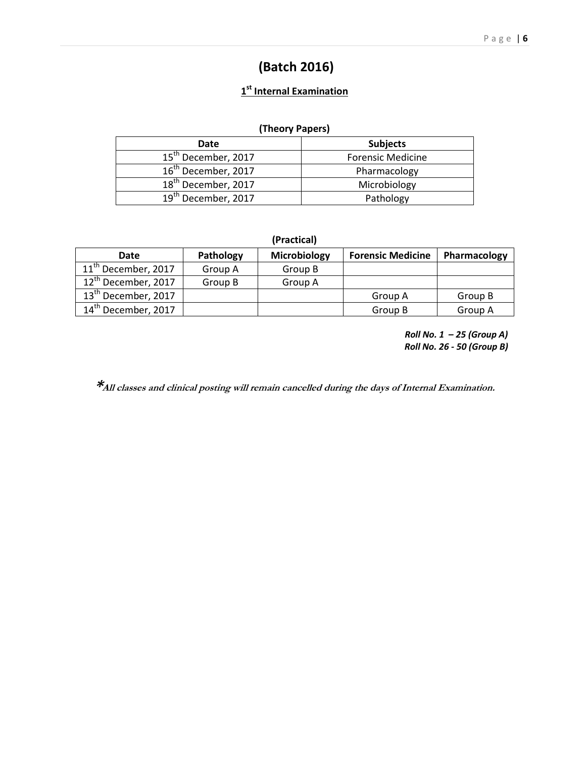## **(Batch 2016)**

#### **1 st Internal Examination**

#### **(Theory Papers)**

| Date                            | <b>Subjects</b>          |
|---------------------------------|--------------------------|
| 15 <sup>th</sup> December, 2017 | <b>Forensic Medicine</b> |
| 16 <sup>th</sup> December, 2017 | Pharmacology             |
| 18 <sup>th</sup> December, 2017 | Microbiology             |
| 19 <sup>th</sup> December, 2017 | Pathology                |

| (Practical) |  |
|-------------|--|
|-------------|--|

| Date                            | Pathology | Microbiology | <b>Forensic Medicine</b> | Pharmacology |
|---------------------------------|-----------|--------------|--------------------------|--------------|
| 11 <sup>th</sup> December, 2017 | Group A   | Group B      |                          |              |
| 12 <sup>th</sup> December, 2017 | Group B   | Group A      |                          |              |
| 13 <sup>th</sup> December, 2017 |           |              | Group A                  | Group B      |
| 14 <sup>th</sup> December, 2017 |           |              | Group B                  | Group A      |

*Roll No. 1 – 25 (Group A) Roll No. 26 - 50 (Group B)* 

**\*All classes and clinical posting will remain cancelled during the days of Internal Examination.**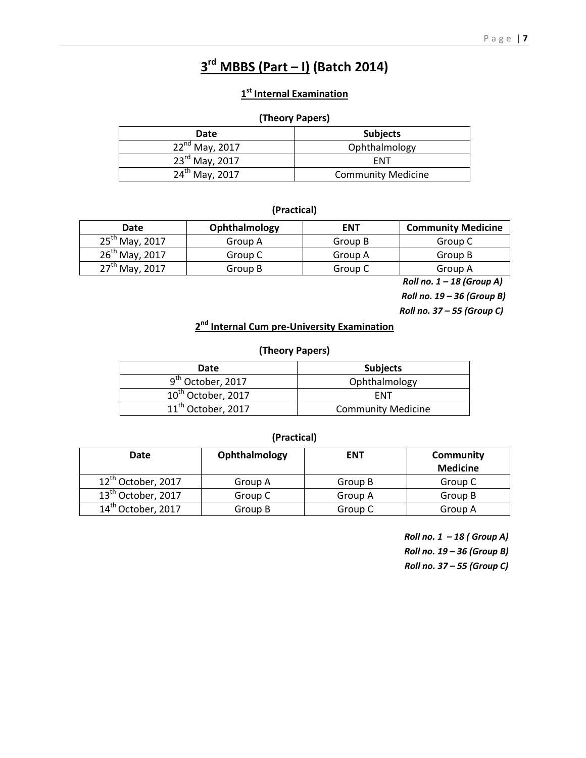## **3 rd MBBS (Part – I) (Batch 2014)**

#### **1 st Internal Examination**

#### **(Theory Papers)**

| Date                       | <b>Subjects</b>           |
|----------------------------|---------------------------|
| $22^{nd}$ May, 2017        | Ophthalmology             |
| $23^{\text{rd}}$ May, 2017 | <b>FNT</b>                |
| $24^{th}$ May, 2017        | <b>Community Medicine</b> |

#### **(Practical)**

| Date                | Ophthalmology | <b>ENT</b> | <b>Community Medicine</b> |
|---------------------|---------------|------------|---------------------------|
| $25^{th}$ May, 2017 | Group A       | Group B    | Group C                   |
| $26^{th}$ May, 2017 | Group C       | Group A    | Group B                   |
| $27^{th}$ May, 2017 | Group B       | Group C    | Group A                   |

 *Roll no. 1 – 18 (Group A)* 

 *Roll no. 19 – 36 (Group B)* 

 *Roll no. 37 – 55 (Group C)* 

#### **2 nd Internal Cum pre-University Examination**

#### **(Theory Papers)**

| Date                           | <b>Subjects</b>           |
|--------------------------------|---------------------------|
| 9 <sup>th</sup> October, 2017  | Ophthalmology             |
| $10^{\text{th}}$ October, 2017 | FNT                       |
| $11th$ October, 2017           | <b>Community Medicine</b> |

#### **(Practical)**

| Date                           | Ophthalmology | <b>ENT</b> | Community       |
|--------------------------------|---------------|------------|-----------------|
|                                |               |            | <b>Medicine</b> |
| 12 <sup>th</sup> October, 2017 | Group A       | Group B    | Group C         |
| 13 <sup>th</sup> October, 2017 | Group C       | Group A    | Group B         |
| 14 <sup>th</sup> October, 2017 | Group B       | Group C    | Group A         |

*Roll no. 1 – 18 ( Group A) Roll no. 19 – 36 (Group B) Roll no. 37 – 55 (Group C)*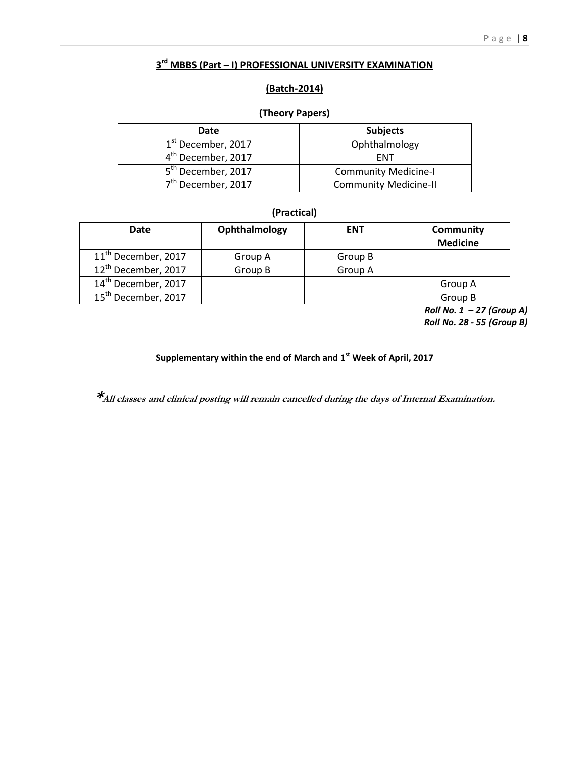#### **3 rd MBBS (Part – I) PROFESSIONAL UNIVERSITY EXAMINATION**

#### **(Batch-2014)**

#### **(Theory Papers)**

| Date                           | <b>Subjects</b>              |
|--------------------------------|------------------------------|
| 1 <sup>st</sup> December, 2017 | Ophthalmology                |
| 4 <sup>th</sup> December, 2017 | <b>FNT</b>                   |
| 5 <sup>th</sup> December, 2017 | <b>Community Medicine-I</b>  |
| 7 <sup>th</sup> December, 2017 | <b>Community Medicine-II</b> |

#### **(Practical)**

| Date                            | Ophthalmology | <b>ENT</b> | Community       |
|---------------------------------|---------------|------------|-----------------|
|                                 |               |            | <b>Medicine</b> |
| 11 <sup>th</sup> December, 2017 | Group A       | Group B    |                 |
| 12 <sup>th</sup> December, 2017 | Group B       | Group A    |                 |
| 14 <sup>th</sup> December, 2017 |               |            | Group A         |
| 15 <sup>th</sup> December, 2017 |               |            | Group B         |

*Roll No. 1 – 27 (Group A) Roll No. 28 - 55 (Group B)* 

#### **Supplementary within the end of March and 1st Week of April, 2017**

**\*All classes and clinical posting will remain cancelled during the days of Internal Examination.**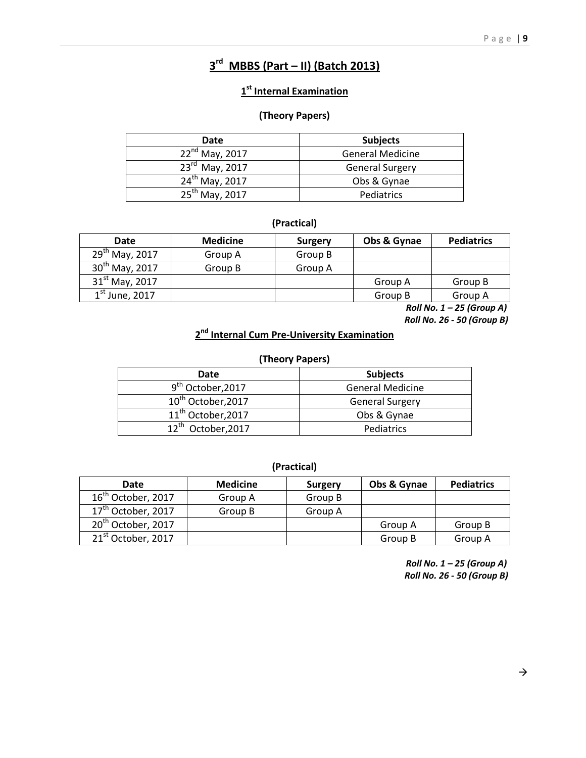## **3 rd MBBS (Part – II) (Batch 2013)**

#### **1 st Internal Examination**

#### **(Theory Papers)**

| Date                       | <b>Subjects</b>         |
|----------------------------|-------------------------|
| $22^{nd}$ May, 2017        | <b>General Medicine</b> |
| $23^{rd}$ May, 2017        | <b>General Surgery</b>  |
| $24^{th}$ May, 2017        | Obs & Gynae             |
| 25 <sup>th</sup> May, 2017 | Pediatrics              |

#### **(Practical)**

| <b>Date</b>                | <b>Medicine</b> | <b>Surgery</b> | Obs & Gynae | <b>Pediatrics</b> |
|----------------------------|-----------------|----------------|-------------|-------------------|
| 29 <sup>th</sup> May, 2017 | Group A         | Group B        |             |                   |
| $30^{th}$ May, 2017        | Group B         | Group A        |             |                   |
| $31^{\rm st}$ May, 2017    |                 |                | Group A     | Group B           |
| $1st$ June, 2017           |                 |                | Group B     | Group A           |

*Roll No. 1 – 25 (Group A) Roll No. 26 - 50 (Group B)* 

#### **2 nd Internal Cum Pre-University Examination**

#### **(Theory Papers)**

| Date                           | <b>Subjects</b>         |
|--------------------------------|-------------------------|
| 9 <sup>th</sup> October,2017   | <b>General Medicine</b> |
| 10 <sup>th</sup> October, 2017 | <b>General Surgery</b>  |
| 11 <sup>th</sup> October, 2017 | Obs & Gynae             |
| 12 <sup>th</sup> October, 2017 | Pediatrics              |

#### **(Practical)**

| Date                           | <b>Medicine</b> | <b>Surgery</b> | Obs & Gynae | <b>Pediatrics</b> |
|--------------------------------|-----------------|----------------|-------------|-------------------|
| 16 <sup>th</sup> October, 2017 | Group A         | Group B        |             |                   |
| 17 <sup>th</sup> October, 2017 | Group B         | Group A        |             |                   |
| 20 <sup>th</sup> October, 2017 |                 |                | Group A     | Group B           |
| 21 <sup>st</sup> October, 2017 |                 |                | Group B     | Group A           |

*Roll No. 1 – 25 (Group A) Roll No. 26 - 50 (Group B)*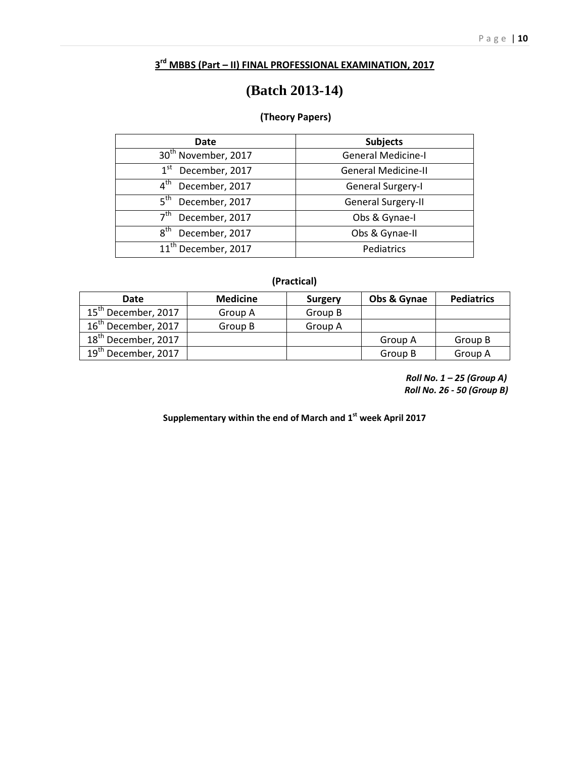#### **3 rd MBBS (Part – II) FINAL PROFESSIONAL EXAMINATION, 2017**

## **(Batch 2013-14)**

#### **(Theory Papers)**

| Date                              | <b>Subjects</b>            |
|-----------------------------------|----------------------------|
| 30 <sup>th</sup> November, 2017   | <b>General Medicine-I</b>  |
| 1 <sup>st</sup><br>December, 2017 | <b>General Medicine-II</b> |
| $4^{\text{th}}$<br>December, 2017 | <b>General Surgery-I</b>   |
| 5 <sup>th</sup><br>December, 2017 | General Surgery-II         |
| 7 <sup>th</sup><br>December, 2017 | Obs & Gynae-I              |
| 8 <sup>th</sup><br>December, 2017 | Obs & Gynae-II             |
| 11 <sup>th</sup> December, 2017   | Pediatrics                 |

#### **(Practical)**

| Date                            | <b>Medicine</b> | <b>Surgery</b> | Obs & Gynae | <b>Pediatrics</b> |
|---------------------------------|-----------------|----------------|-------------|-------------------|
| 15 <sup>th</sup> December, 2017 | Group A         | Group B        |             |                   |
| $16^{\text{th}}$ December, 2017 | Group B         | Group A        |             |                   |
| 18 <sup>th</sup> December, 2017 |                 |                | Group A     | Group B           |
| 19 <sup>th</sup> December, 2017 |                 |                | Group B     | Group A           |

*Roll No. 1 – 25 (Group A) Roll No. 26 - 50 (Group B)* 

**Supplementary within the end of March and 1st week April 2017**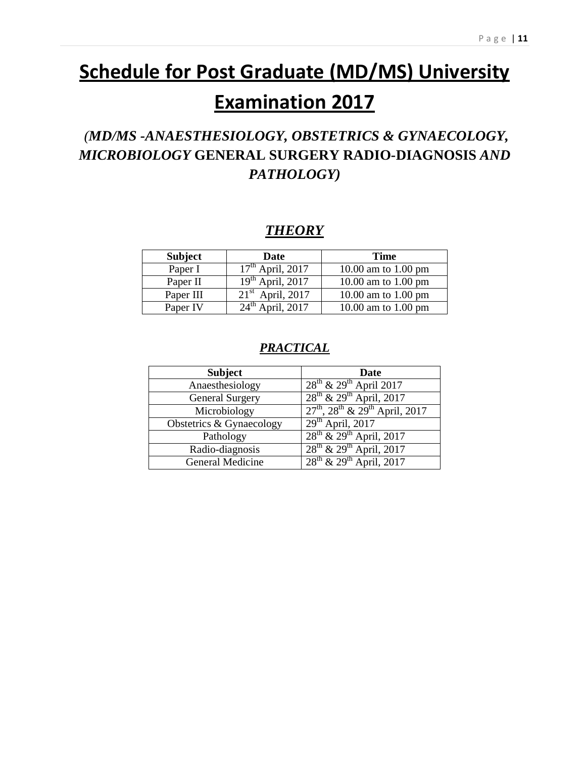# **Schedule for Post Graduate (MD/MS) University**

# **Examination 2017**

## *(MD/MS -ANAESTHESIOLOGY, OBSTETRICS & GYNAECOLOGY, MICROBIOLOGY* **GENERAL SURGERY RADIO-DIAGNOSIS** *AND PATHOLOGY)*

## *THEORY*

| <b>Subject</b> | Date                  | Time                |
|----------------|-----------------------|---------------------|
| Paper I        | $17^{th}$ April, 2017 | 10.00 am to 1.00 pm |
| Paper II       | $19th$ April, 2017    | 10.00 am to 1.00 pm |
| Paper III      | $21st$ April, 2017    | 10.00 am to 1.00 pm |
| Paper IV       | $24th$ April, 2017    | 10.00 am to 1.00 pm |

## *PRACTICAL*

| <b>Subject</b>           | Date                                          |
|--------------------------|-----------------------------------------------|
| Anaesthesiology          | $28^{th}$ & $29^{th}$ April 2017              |
| <b>General Surgery</b>   | $28^{th}$ & $29^{th}$ April, 2017             |
| Microbiology             | $27^{th}$ , $28^{th}$ & $29^{th}$ April, 2017 |
| Obstetrics & Gynaecology | $29th$ April, 2017                            |
| Pathology                | $28^{th}$ & $29^{th}$ April, 2017             |
| Radio-diagnosis          | $28^{th}$ & $29^{th}$ April, 2017             |
| General Medicine         | $28^{th}$ & $29^{th}$ April, 2017             |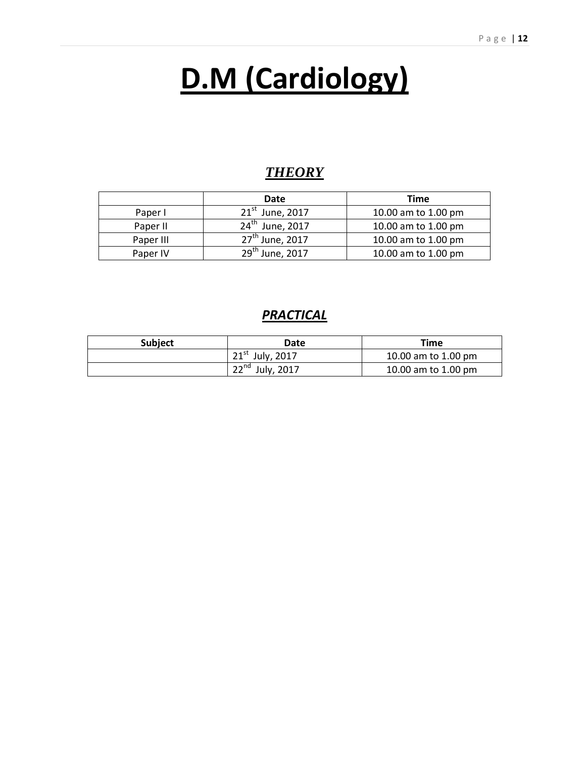# **D.M (Cardiology)**

## *THEORY*

|           | Date                        | Time                |
|-----------|-----------------------------|---------------------|
| Paper I   | $21^{st}$ June, 2017        | 10.00 am to 1.00 pm |
| Paper II  | 24 <sup>th</sup> June, 2017 | 10.00 am to 1.00 pm |
| Paper III | 27 <sup>th</sup> June, 2017 | 10.00 am to 1.00 pm |
| Paper IV  | $29^{th}$ June, 2017        | 10.00 am to 1.00 pm |

## *PRACTICAL*

| <b>Subject</b> | Date                 | Time                |
|----------------|----------------------|---------------------|
|                | $21^{st}$ July, 2017 | 10.00 am to 1.00 pm |
|                | $22^{nd}$ July, 2017 | 10.00 am to 1.00 pm |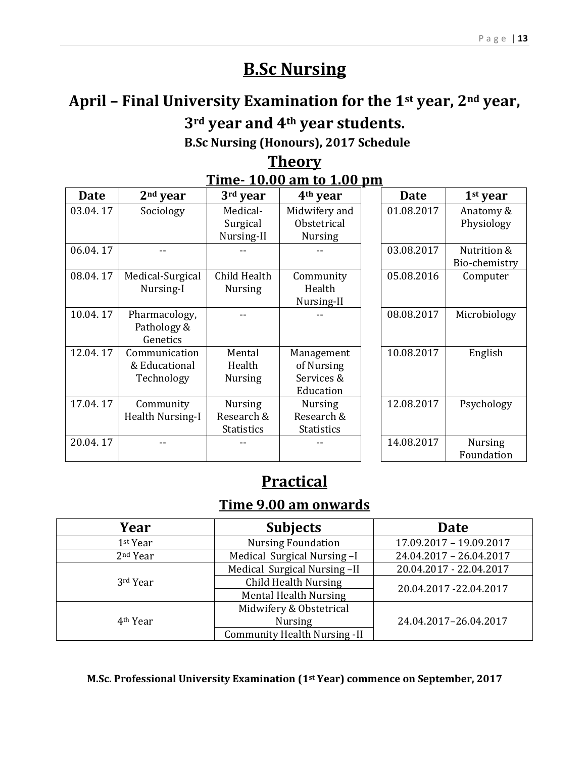# **B.Sc Nursing**

# **April – Final University Examination for the 1st year, 2nd year, 3rd year and 4th year students.**

 **B.Sc Nursing (Honours), 2017 Schedule** 

## **Theory Time- 10.00 am to 1.00 pm**

| Date     | $2nd$ year       | 3rd year          | 4 <sup>th</sup> year | <b>Date</b> | $1st$ year     |
|----------|------------------|-------------------|----------------------|-------------|----------------|
| 03.04.17 | Sociology        | Medical-          | Midwifery and        | 01.08.2017  | Anatomy &      |
|          |                  | Surgical          | Obstetrical          |             | Physiology     |
|          |                  | Nursing-II        | <b>Nursing</b>       |             |                |
| 06.04.17 |                  |                   |                      | 03.08.2017  | Nutrition &    |
|          |                  |                   |                      |             | Bio-chemistry  |
| 08.04.17 | Medical-Surgical | Child Health      | Community            | 05.08.2016  | Computer       |
|          | Nursing-I        | <b>Nursing</b>    | Health               |             |                |
|          |                  |                   | Nursing-II           |             |                |
| 10.04.17 | Pharmacology,    |                   |                      | 08.08.2017  | Microbiology   |
|          | Pathology &      |                   |                      |             |                |
|          | Genetics         |                   |                      |             |                |
| 12.04.17 | Communication    | Mental            | Management           | 10.08.2017  | English        |
|          | & Educational    | Health            | of Nursing           |             |                |
|          | Technology       | Nursing           | Services &           |             |                |
|          |                  |                   | Education            |             |                |
| 17.04.17 | Community        | <b>Nursing</b>    | <b>Nursing</b>       | 12.08.2017  | Psychology     |
|          | Health Nursing-I | Research &        | Research &           |             |                |
|          |                  | <b>Statistics</b> | <b>Statistics</b>    |             |                |
| 20.04.17 |                  |                   |                      | 14.08.2017  | <b>Nursing</b> |
|          |                  |                   |                      |             | Foundation     |

# **Practical Time 9.00 am onwards**

| Year                 | <b>Subjects</b>                     | <b>Date</b>             |  |
|----------------------|-------------------------------------|-------------------------|--|
| 1st Year             | <b>Nursing Foundation</b>           | 17.09.2017 - 19.09.2017 |  |
| 2 <sup>nd</sup> Year | Medical Surgical Nursing-I          | 24.04.2017 - 26.04.2017 |  |
|                      | Medical Surgical Nursing-II         | 20.04.2017 - 22.04.2017 |  |
| 3rd Year             | <b>Child Health Nursing</b>         | 20.04.2017 - 22.04.2017 |  |
|                      | <b>Mental Health Nursing</b>        |                         |  |
|                      | Midwifery & Obstetrical             |                         |  |
| 4 <sup>th</sup> Year | <b>Nursing</b>                      | 24.04.2017-26.04.2017   |  |
|                      | <b>Community Health Nursing -II</b> |                         |  |

**M.Sc. Professional University Examination (1st Year) commence on September, 2017**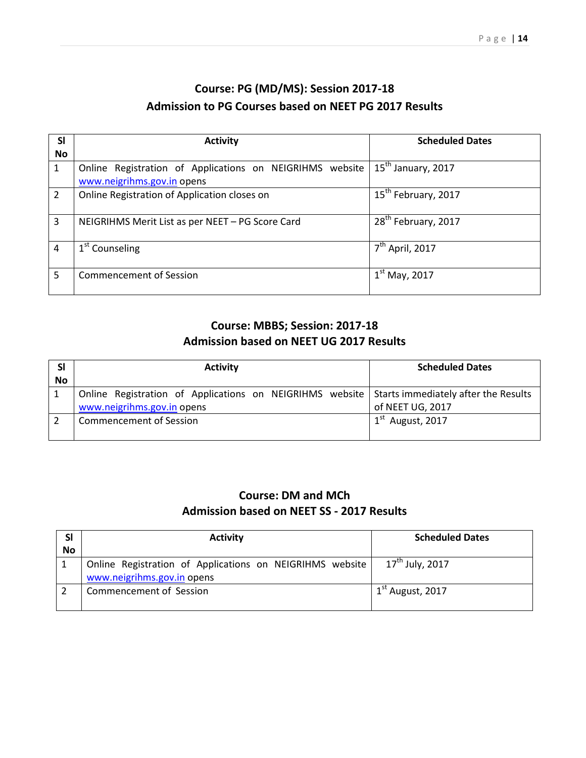## **Course: PG (MD/MS): Session 2017-18 Admission to PG Courses based on NEET PG 2017 Results**

| <b>SI</b> | <b>Activity</b>                                          | <b>Scheduled Dates</b>          |
|-----------|----------------------------------------------------------|---------------------------------|
| No        |                                                          |                                 |
| 1         | Online Registration of Applications on NEIGRIHMS website | 15 <sup>th</sup> January, 2017  |
|           | www.neigrihms.gov.in opens                               |                                 |
| 2         | Online Registration of Application closes on             | 15 <sup>th</sup> February, 2017 |
|           |                                                          |                                 |
| 3         | NEIGRIHMS Merit List as per NEET - PG Score Card         | 28 <sup>th</sup> February, 2017 |
|           |                                                          |                                 |
|           | 1 <sup>st</sup> Counseling                               | $7th$ April, 2017               |
|           |                                                          |                                 |
| 5.        | <b>Commencement of Session</b>                           | $1st$ May, 2017                 |
|           |                                                          |                                 |

### **Course: MBBS; Session: 2017-18 Admission based on NEET UG 2017 Results**

|    | <b>Activity</b>                                                                                                             | <b>Scheduled Dates</b> |
|----|-----------------------------------------------------------------------------------------------------------------------------|------------------------|
| No |                                                                                                                             |                        |
|    | Online Registration of Applications on NEIGRIHMS website Starts immediately after the Results<br>www.neigrihms.gov.in opens | of NEET UG, 2017       |
|    | <b>Commencement of Session</b>                                                                                              | $1st$ August, 2017     |

### **Course: DM and MCh Admission based on NEET SS - 2017 Results**

| <b>SI</b> | <b>Activity</b>                                                                        | <b>Scheduled Dates</b>      |
|-----------|----------------------------------------------------------------------------------------|-----------------------------|
| <b>No</b> |                                                                                        |                             |
|           | Online Registration of Applications on NEIGRIHMS website<br>www.neigrihms.gov.in opens | $17^{\text{th}}$ July, 2017 |
|           | <b>Commencement of Session</b>                                                         | $1st$ August, 2017          |